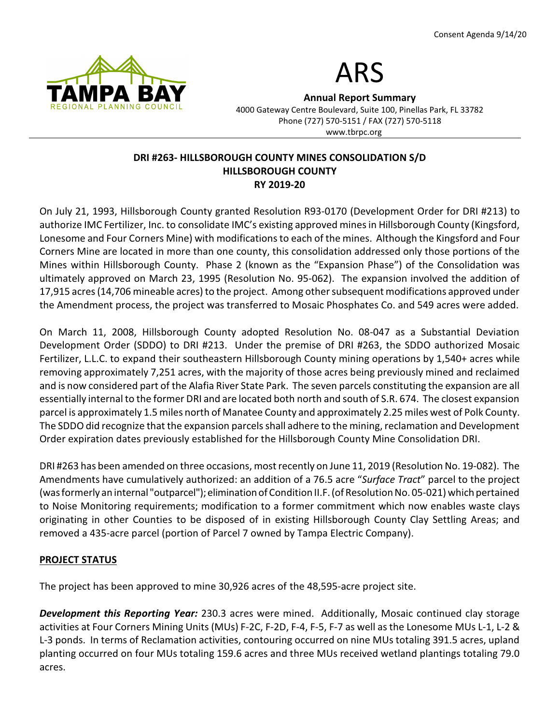



**Annual Report Summary**

4000 Gateway Centre Boulevard, Suite 100, Pinellas Park, FL 33782 Phone (727) 570-5151 / FAX (727) 570-5118 www.tbrpc.org

### **DRI #263- HILLSBOROUGH COUNTY MINES CONSOLIDATION S/D HILLSBOROUGH COUNTY RY 2019-20**

On July 21, 1993, Hillsborough County granted Resolution R93-0170 (Development Order for DRI #213) to authorize IMC Fertilizer, Inc. to consolidate IMC's existing approved mines in Hillsborough County (Kingsford, Lonesome and Four Corners Mine) with modifications to each of the mines. Although the Kingsford and Four Corners Mine are located in more than one county, this consolidation addressed only those portions of the Mines within Hillsborough County. Phase 2 (known as the "Expansion Phase") of the Consolidation was ultimately approved on March 23, 1995 (Resolution No. 95-062). The expansion involved the addition of 17,915 acres (14,706 mineable acres) to the project. Among other subsequent modifications approved under the Amendment process, the project was transferred to Mosaic Phosphates Co. and 549 acres were added.

On March 11, 2008, Hillsborough County adopted Resolution No. 08-047 as a Substantial Deviation Development Order (SDDO) to DRI #213. Under the premise of DRI #263, the SDDO authorized Mosaic Fertilizer, L.L.C. to expand their southeastern Hillsborough County mining operations by 1,540+ acres while removing approximately 7,251 acres, with the majority of those acres being previously mined and reclaimed and is now considered part of the Alafia River State Park. The seven parcels constituting the expansion are all essentially internal to the former DRI and are located both north and south of S.R. 674. The closest expansion parcel is approximately 1.5 miles north of Manatee County and approximately 2.25 miles west of Polk County. The SDDO did recognize that the expansion parcels shall adhere to the mining, reclamation and Development Order expiration dates previously established for the Hillsborough County Mine Consolidation DRI.

DRI #263 has been amended on three occasions, most recently on June 11, 2019 (Resolution No. 19-082). The Amendments have cumulatively authorized: an addition of a 76.5 acre "*Surface Tract*" parcel to the project (was formerly an internal "outparcel"); elimination of Condition II.F. (of Resolution No. 05-021) which pertained to Noise Monitoring requirements; modification to a former commitment which now enables waste clays originating in other Counties to be disposed of in existing Hillsborough County Clay Settling Areas; and removed a 435-acre parcel (portion of Parcel 7 owned by Tampa Electric Company).

# **PROJECT STATUS**

The project has been approved to mine 30,926 acres of the 48,595-acre project site.

*Development this Reporting Year:* 230.3 acres were mined. Additionally, Mosaic continued clay storage activities at Four Corners Mining Units (MUs) F-2C, F-2D, F-4, F-5, F-7 as well as the Lonesome MUs L-1, L-2 & L-3 ponds. In terms of Reclamation activities, contouring occurred on nine MUs totaling 391.5 acres, upland planting occurred on four MUs totaling 159.6 acres and three MUs received wetland plantings totaling 79.0 acres.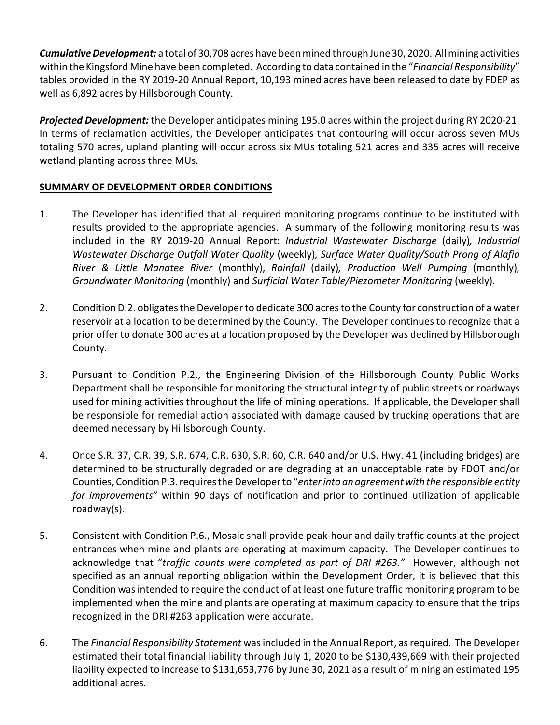*Cumulative Development:* a total of 30,708 acres have beenmined through June 30, 2020. All mining activities within the Kingsford Mine have been completed. According to data contained in the "*Financial Responsibility*" tables provided in the RY 2019-20 Annual Report, 10,193 mined acres have been released to date by FDEP as well as 6,892 acres by Hillsborough County.

*Projected Development:* the Developer anticipates mining 195.0 acres within the project during RY 2020-21. In terms of reclamation activities, the Developer anticipates that contouring will occur across seven MUs totaling 570 acres, upland planting will occur across six MUs totaling 521 acres and 335 acres will receive wetland planting across three MUs.

# **SUMMARY OF DEVELOPMENT ORDER CONDITIONS**

- 1. The Developer has identified that all required monitoring programs continue to be instituted with results provided to the appropriate agencies. A summary of the following monitoring results was included in the RY 2019-20 Annual Report: *Industrial Wastewater Discharge* (daily)*, Industrial Wastewater Discharge Outfall Water Quality* (weekly)*, Surface Water Quality/South Prong of Alafia River & Little Manatee River* (monthly), *Rainfall* (daily)*, Production Well Pumping* (monthly)*, Groundwater Monitoring* (monthly) and *Surficial Water Table/Piezometer Monitoring* (weekly)*.*
- 2. Condition D.2. obligates the Developer to dedicate 300 acres to the County for construction of a water reservoir at a location to be determined by the County. The Developer continues to recognize that a prior offer to donate 300 acres at a location proposed by the Developer was declined by Hillsborough County.
- 3. Pursuant to Condition P.2., the Engineering Division of the Hillsborough County Public Works Department shall be responsible for monitoring the structural integrity of public streets or roadways used for mining activities throughout the life of mining operations. If applicable, the Developer shall be responsible for remedial action associated with damage caused by trucking operations that are deemed necessary by Hillsborough County.
- 4. Once S.R. 37, C.R. 39, S.R. 674, C.R. 630, S.R. 60, C.R. 640 and/or U.S. Hwy. 41 (including bridges) are determined to be structurally degraded or are degrading at an unacceptable rate by FDOT and/or Counties, Condition P.3. requires the Developer to "*enter into an agreementwith the responsible entity for improvements*" within 90 days of notification and prior to continued utilization of applicable roadway(s).
- 5. Consistent with Condition P.6., Mosaic shall provide peak-hour and daily traffic counts at the project entrances when mine and plants are operating at maximum capacity. The Developer continues to acknowledge that "*traffic counts were completed as part of DRI #263."* However, although not specified as an annual reporting obligation within the Development Order, it is believed that this Condition was intended to require the conduct of at least one future traffic monitoring program to be implemented when the mine and plants are operating at maximum capacity to ensure that the trips recognized in the DRI #263 application were accurate.
- 6. The *Financial Responsibility Statement* was included in the Annual Report, as required. The Developer estimated their total financial liability through July 1, 2020 to be \$130,439,669 with their projected liability expected to increase to \$131,653,776 by June 30, 2021 as a result of mining an estimated 195 additional acres.